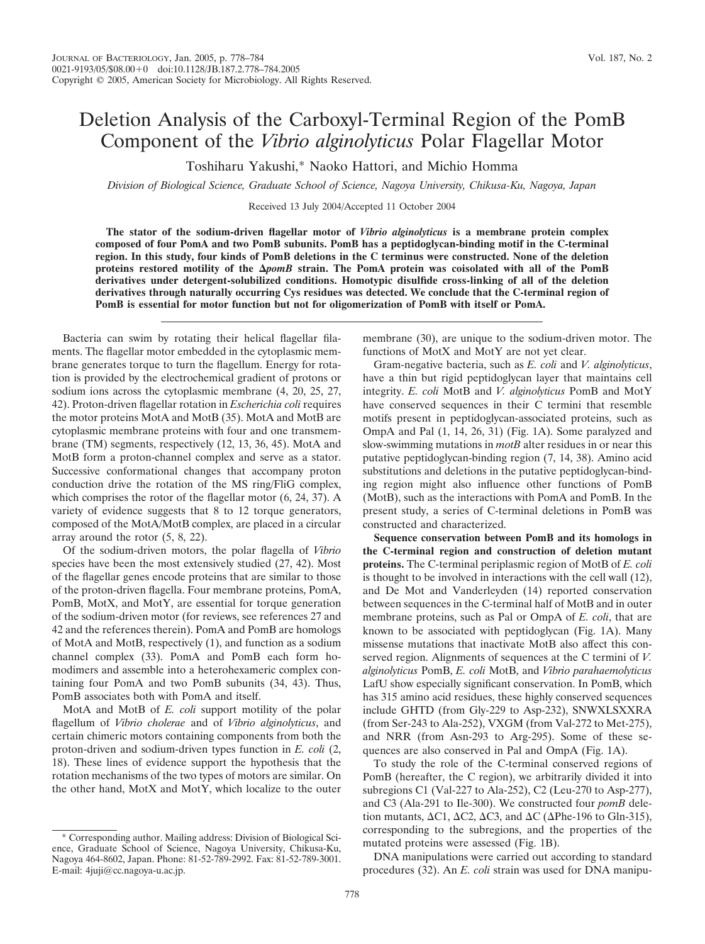## Deletion Analysis of the Carboxyl-Terminal Region of the PomB Component of the *Vibrio alginolyticus* Polar Flagellar Motor

Toshiharu Yakushi,\* Naoko Hattori, and Michio Homma

*Division of Biological Science, Graduate School of Science, Nagoya University, Chikusa-Ku, Nagoya, Japan*

Received 13 July 2004/Accepted 11 October 2004

**The stator of the sodium-driven flagellar motor of** *Vibrio alginolyticus* **is a membrane protein complex composed of four PomA and two PomB subunits. PomB has a peptidoglycan-binding motif in the C-terminal region. In this study, four kinds of PomB deletions in the C terminus were constructed. None of the deletion proteins restored motility of the** *pomB* **strain. The PomA protein was coisolated with all of the PomB derivatives under detergent-solubilized conditions. Homotypic disulfide cross-linking of all of the deletion derivatives through naturally occurring Cys residues was detected. We conclude that the C-terminal region of PomB is essential for motor function but not for oligomerization of PomB with itself or PomA.**

Bacteria can swim by rotating their helical flagellar filaments. The flagellar motor embedded in the cytoplasmic membrane generates torque to turn the flagellum. Energy for rotation is provided by the electrochemical gradient of protons or sodium ions across the cytoplasmic membrane (4, 20, 25, 27, 42). Proton-driven flagellar rotation in *Escherichia coli* requires the motor proteins MotA and MotB (35). MotA and MotB are cytoplasmic membrane proteins with four and one transmembrane (TM) segments, respectively (12, 13, 36, 45). MotA and MotB form a proton-channel complex and serve as a stator. Successive conformational changes that accompany proton conduction drive the rotation of the MS ring/FliG complex, which comprises the rotor of the flagellar motor (6, 24, 37). A variety of evidence suggests that 8 to 12 torque generators, composed of the MotA/MotB complex, are placed in a circular array around the rotor (5, 8, 22).

Of the sodium-driven motors, the polar flagella of *Vibrio* species have been the most extensively studied (27, 42). Most of the flagellar genes encode proteins that are similar to those of the proton-driven flagella. Four membrane proteins, PomA, PomB, MotX, and MotY, are essential for torque generation of the sodium-driven motor (for reviews, see references 27 and 42 and the references therein). PomA and PomB are homologs of MotA and MotB, respectively (1), and function as a sodium channel complex (33). PomA and PomB each form homodimers and assemble into a heterohexameric complex containing four PomA and two PomB subunits (34, 43). Thus, PomB associates both with PomA and itself.

MotA and MotB of *E. coli* support motility of the polar flagellum of *Vibrio cholerae* and of *Vibrio alginolyticus*, and certain chimeric motors containing components from both the proton-driven and sodium-driven types function in *E. coli* (2, 18). These lines of evidence support the hypothesis that the rotation mechanisms of the two types of motors are similar. On the other hand, MotX and MotY, which localize to the outer

membrane (30), are unique to the sodium-driven motor. The functions of MotX and MotY are not yet clear.

Gram-negative bacteria, such as *E. coli* and *V. alginolyticus*, have a thin but rigid peptidoglycan layer that maintains cell integrity. *E. coli* MotB and *V. alginolyticus* PomB and MotY have conserved sequences in their C termini that resemble motifs present in peptidoglycan-associated proteins, such as OmpA and Pal (1, 14, 26, 31) (Fig. 1A). Some paralyzed and slow-swimming mutations in *motB* alter residues in or near this putative peptidoglycan-binding region (7, 14, 38). Amino acid substitutions and deletions in the putative peptidoglycan-binding region might also influence other functions of PomB (MotB), such as the interactions with PomA and PomB. In the present study, a series of C-terminal deletions in PomB was constructed and characterized.

**Sequence conservation between PomB and its homologs in the C-terminal region and construction of deletion mutant proteins.** The C-terminal periplasmic region of MotB of *E. coli* is thought to be involved in interactions with the cell wall (12), and De Mot and Vanderleyden (14) reported conservation between sequences in the C-terminal half of MotB and in outer membrane proteins, such as Pal or OmpA of *E. coli*, that are known to be associated with peptidoglycan (Fig. 1A). Many missense mutations that inactivate MotB also affect this conserved region. Alignments of sequences at the C termini of *V. alginolyticus* PomB, *E. coli* MotB, and *Vibrio parahaemolyticus* LafU show especially significant conservation. In PomB, which has 315 amino acid residues, these highly conserved sequences include GHTD (from Gly-229 to Asp-232), SNWXLSXXRA (from Ser-243 to Ala-252), VXGM (from Val-272 to Met-275), and NRR (from Asn-293 to Arg-295). Some of these sequences are also conserved in Pal and OmpA (Fig. 1A).

To study the role of the C-terminal conserved regions of PomB (hereafter, the C region), we arbitrarily divided it into subregions C1 (Val-227 to Ala-252), C2 (Leu-270 to Asp-277), and C3 (Ala-291 to Ile-300). We constructed four *pomB* deletion mutants,  $\Delta$ C1,  $\Delta$ C2,  $\Delta$ C3, and  $\Delta$ C ( $\Delta$ Phe-196 to Gln-315), corresponding to the subregions, and the properties of the mutated proteins were assessed (Fig. 1B).

DNA manipulations were carried out according to standard procedures (32). An *E. coli* strain was used for DNA manipu-

<sup>\*</sup> Corresponding author. Mailing address: Division of Biological Science, Graduate School of Science, Nagoya University, Chikusa-Ku, Nagoya 464-8602, Japan. Phone: 81-52-789-2992. Fax: 81-52-789-3001. E-mail: 4juji@cc.nagoya-u.ac.jp.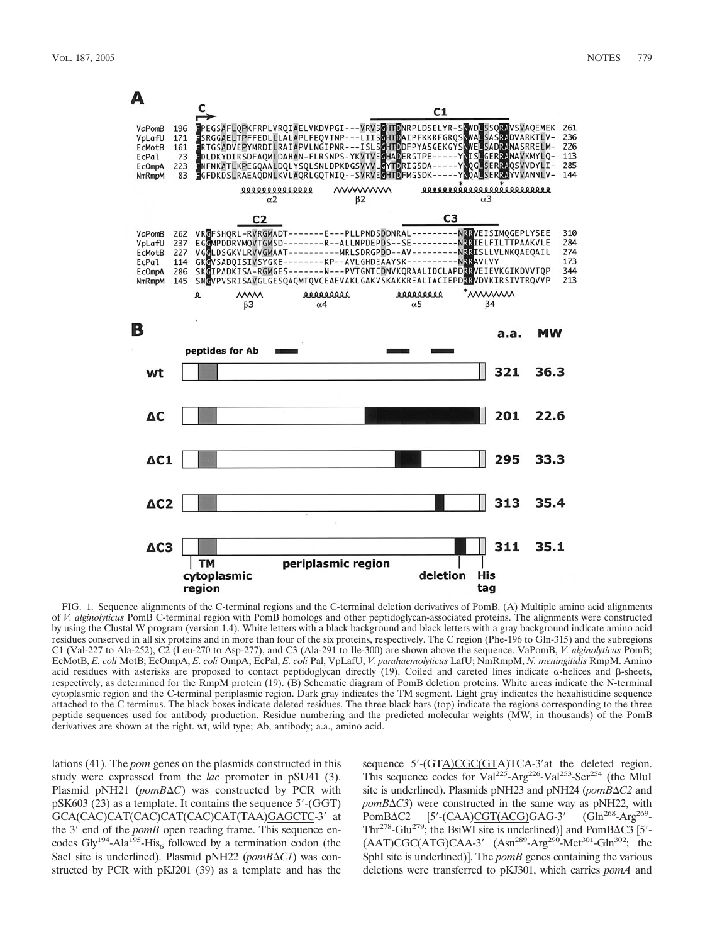

FIG. 1. Sequence alignments of the C-terminal regions and the C-terminal deletion derivatives of PomB. (A) Multiple amino acid alignments of *V. alginolyticus* PomB C-terminal region with PomB homologs and other peptidoglycan-associated proteins. The alignments were constructed by using the Clustal W program (version 1.4). White letters with a black background and black letters with a gray background indicate amino acid residues conserved in all six proteins and in more than four of the six proteins, respectively. The C region (Phe-196 to Gln-315) and the subregions C1 (Val-227 to Ala-252), C2 (Leu-270 to Asp-277), and C3 (Ala-291 to Ile-300) are shown above the sequence. VaPomB, *V. alginolyticus* PomB; EcMotB, *E. coli* MotB; EcOmpA, *E. coli* OmpA; EcPal, *E. coli* Pal, VpLafU, *V. parahaemolyticus* LafU; NmRmpM, *N. meningitidis* RmpM. Amino acid residues with asterisks are proposed to contact peptidoglycan directly (19). Coiled and careted lines indicate  $\alpha$ -helices and  $\beta$ -sheets, respectively, as determined for the RmpM protein (19). (B) Schematic diagram of PomB deletion proteins. White areas indicate the N-terminal cytoplasmic region and the C-terminal periplasmic region. Dark gray indicates the TM segment. Light gray indicates the hexahistidine sequence attached to the C terminus. The black boxes indicate deleted residues. The three black bars (top) indicate the regions corresponding to the three peptide sequences used for antibody production. Residue numbering and the predicted molecular weights (MW; in thousands) of the PomB derivatives are shown at the right. wt, wild type; Ab, antibody; a.a., amino acid.

lations (41). The *pom* genes on the plasmids constructed in this study were expressed from the *lac* promoter in pSU41 (3). Plasmid pNH21 (pomB $\Delta C$ ) was constructed by PCR with pSK603 (23) as a template. It contains the sequence 5'-(GGT) GCA(CAC)CAT(CAC)CAT(CAC)CAT(TAA)GAGCTC-3' at the 3' end of the *pomB* open reading frame. This sequence encodes  $\text{Gly}^{194}$ -Ala<sup>195</sup>-His<sub>6</sub> followed by a termination codon (the SacI site is underlined). Plasmid pNH22 (*pomB* $\Delta$ *C1*) was constructed by PCR with pKJ201 (39) as a template and has the

sequence  $5'$ -(GTA)CGC(GTA)TCA-3' at the deleted region. This sequence codes for  $Val^{225}$ -Arg<sup>226</sup>-Val<sup>253</sup>-Ser<sup>254</sup> (the MluI site is underlined). Plasmids pNH23 and pNH24 (*pomB*ΔC2 and *pomB*-*C3*) were constructed in the same way as pNH22, with  $PomBAC2$  [5'-(CAA)CGT(ACG)GAG-3' (Gln<sup>268</sup>-Arg<sup>269</sup>-Thr<sup>278</sup>-Glu<sup>279</sup>; the BsiWI site is underlined)] and PomB $\Delta$ C3 [5'- $(AAT)CGC (ATG) CAA-3' (Asn<sup>289</sup>-Arg<sup>290</sup>-Met<sup>301</sup>-Gln<sup>302</sup>; the$ SphI site is underlined)]. The *pomB* genes containing the various deletions were transferred to pKJ301, which carries *pomA* and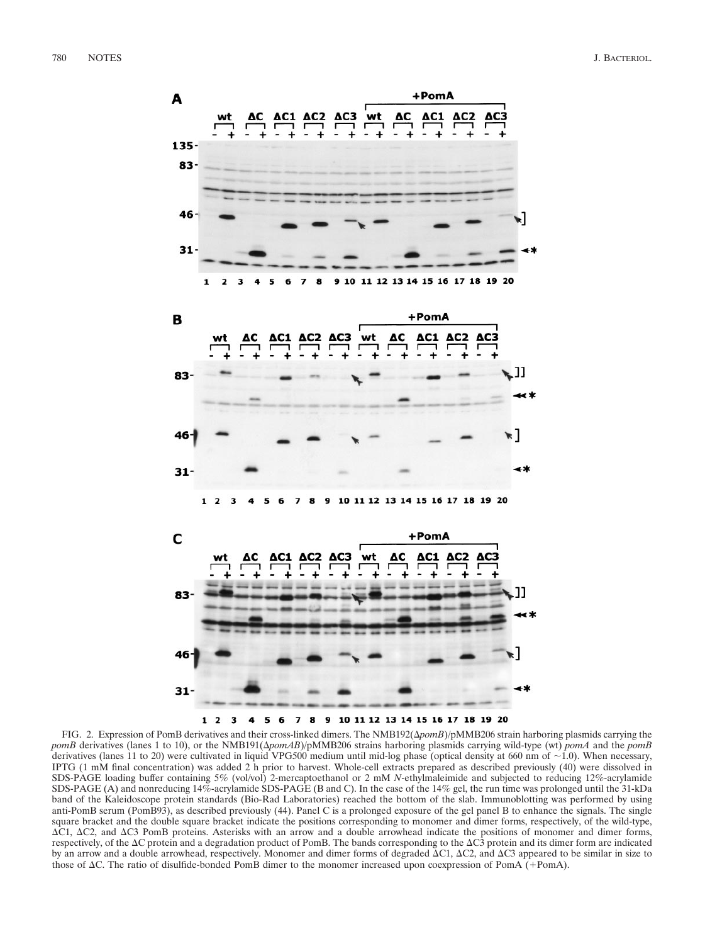

FIG. 2. Expression of PomB derivatives and their cross-linked dimers. The NMB192( $\Delta pomb$ )/pMMB206 strain harboring plasmids carrying the *pomB* derivatives (lanes 1 to 10), or the NMB191( $\Delta pomAB$ )/pMMB206 strains harboring plasmids carrying wild-type (wt)  $pomA$  and the  $pomB$ derivatives (lanes 11 to 20) were cultivated in liquid VPG500 medium until mid-log phase (optical density at 660 nm of  $\sim$  1.0). When necessary, IPTG (1 mM final concentration) was added 2 h prior to harvest. Whole-cell extracts prepared as described previously (40) were dissolved in SDS-PAGE loading buffer containing 5% (vol/vol) 2-mercaptoethanol or 2 mM *N*-ethylmaleimide and subjected to reducing 12%-acrylamide SDS-PAGE (A) and nonreducing 14%-acrylamide SDS-PAGE (B and C). In the case of the 14% gel, the run time was prolonged until the 31-kDa band of the Kaleidoscope protein standards (Bio-Rad Laboratories) reached the bottom of the slab. Immunoblotting was performed by using anti-PomB serum (PomB93), as described previously (44). Panel C is a prolonged exposure of the gel panel B to enhance the signals. The single square bracket and the double square bracket indicate the positions corresponding to monomer and dimer forms, respectively, of the wild-type,  $\Delta$ C1,  $\Delta$ C2, and  $\Delta$ C3 PomB proteins. Asterisks with an arrow and a double arrowhead indicate the positions of monomer and dimer forms, respectively, of the  $\Delta C$  protein and a degradation product of PomB. The bands corresponding to the  $\Delta C3$  protein and its dimer form are indicated by an arrow and a double arrowhead, respectively. Monomer and dimer forms of degraded  $\Delta C1$ ,  $\Delta C2$ , and  $\Delta C3$  appeared to be similar in size to those of  $\Delta C$ . The ratio of disulfide-bonded PomB dimer to the monomer increased upon coexpression of PomA  $(+)$ -PomA).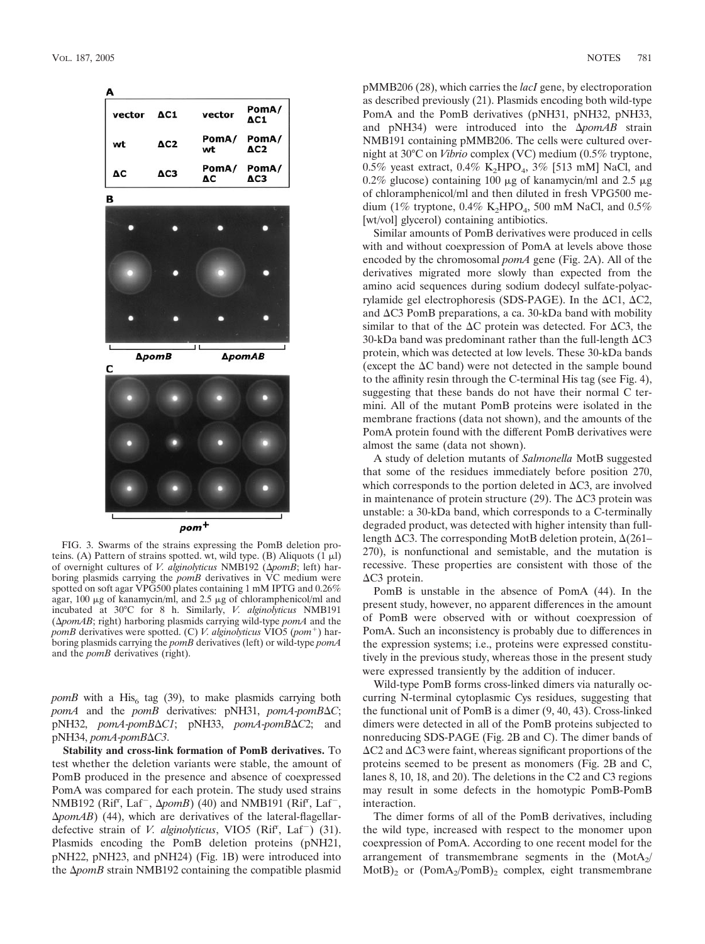

FIG. 3. Swarms of the strains expressing the PomB deletion proteins. (A) Pattern of strains spotted. wt, wild type. (B) Aliquots  $(1 \mu l)$ of overnight cultures of *V. alginolyticus* NMB192 ( $\Delta pomB$ ; left) harboring plasmids carrying the *pomB* derivatives in VC medium were spotted on soft agar VPG500 plates containing 1 mM IPTG and 0.26% agar, 100  $\mu$ g of kanamycin/ml, and 2.5  $\mu$ g of chloramphenicol/ml and incubated at 30°C for 8 h. Similarly, *V. alginolyticus* NMB191 ( $\Delta$ *pomAB*; right) harboring plasmids carrying wild-type *pomA* and the *pomB* derivatives were spotted. (C) *V. alginolyticus* VIO5 (*pom*<sup>+</sup>) harboring plasmids carrying the *pomB* derivatives (left) or wild-type *pomA* and the *pomB* derivatives (right).

*pomB* with a His<sub>6</sub> tag (39), to make plasmids carrying both *pomA* and the *pomB* derivatives: pNH31, *pomA*-*pomB*-*C*; pNH32, *pomA*-*pomB*-*C1*; pNH33, *pomA*-*pomB*-*C*2; and pNH34, *pomA*-*pomB*-*C3*.

**Stability and cross-link formation of PomB derivatives.** To test whether the deletion variants were stable, the amount of PomB produced in the presence and absence of coexpressed PomA was compared for each protein. The study used strains NMB192 (Rif<sup>r</sup>, Laf<sup>-</sup>,  $\Delta p \circ mB$ ) (40) and NMB191 (Rif<sup>r</sup>, Laf<sup>-</sup>, -*pomAB*) (44), which are derivatives of the lateral-flagellardefective strain of *V. alginolyticus*, VIO5 (Rif<sup>r</sup>, Laf<sup>-</sup>) (31). Plasmids encoding the PomB deletion proteins (pNH21, pNH22, pNH23, and pNH24) (Fig. 1B) were introduced into the  $\Delta p$ *omB* strain NMB192 containing the compatible plasmid

pMMB206 (28), which carries the *lacI* gene, by electroporation as described previously (21). Plasmids encoding both wild-type PomA and the PomB derivatives (pNH31, pNH32, pNH33, and pNH34) were introduced into the  $\Delta p$ omAB strain NMB191 containing pMMB206. The cells were cultured overnight at 30°C on *Vibrio* complex (VC) medium (0.5% tryptone, 0.5% yeast extract, 0.4% K<sub>2</sub>HPO<sub>4</sub>, 3% [513 mM] NaCl, and 0.2% glucose) containing 100  $\mu$ g of kanamycin/ml and 2.5  $\mu$ g of chloramphenicol/ml and then diluted in fresh VPG500 medium (1% tryptone,  $0.4\%$  K<sub>2</sub>HPO<sub>4</sub>, 500 mM NaCl, and  $0.5\%$ [wt/vol] glycerol] containing antibiotics.

Similar amounts of PomB derivatives were produced in cells with and without coexpression of PomA at levels above those encoded by the chromosomal *pomA* gene (Fig. 2A). All of the derivatives migrated more slowly than expected from the amino acid sequences during sodium dodecyl sulfate-polyacrylamide gel electrophoresis (SDS-PAGE). In the  $\Delta$ C1,  $\Delta$ C2, and  $\Delta$ C3 PomB preparations, a ca. 30-kDa band with mobility similar to that of the  $\Delta C$  protein was detected. For  $\Delta C_3$ , the 30-kDa band was predominant rather than the full-length  $\Delta$ C3 protein, which was detected at low levels. These 30-kDa bands (except the  $\Delta C$  band) were not detected in the sample bound to the affinity resin through the C-terminal His tag (see Fig. 4), suggesting that these bands do not have their normal C termini. All of the mutant PomB proteins were isolated in the membrane fractions (data not shown), and the amounts of the PomA protein found with the different PomB derivatives were almost the same (data not shown).

A study of deletion mutants of *Salmonella* MotB suggested that some of the residues immediately before position 270, which corresponds to the portion deleted in  $\Delta C3$ , are involved in maintenance of protein structure (29). The  $\Delta C3$  protein was unstable: a 30-kDa band, which corresponds to a C-terminally degraded product, was detected with higher intensity than fulllength  $\Delta$ C3. The corresponding MotB deletion protein,  $\Delta$ (261– 270), is nonfunctional and semistable, and the mutation is recessive. These properties are consistent with those of the ΔC3 protein.

PomB is unstable in the absence of PomA (44). In the present study, however, no apparent differences in the amount of PomB were observed with or without coexpression of PomA. Such an inconsistency is probably due to differences in the expression systems; i.e., proteins were expressed constitutively in the previous study, whereas those in the present study were expressed transiently by the addition of inducer.

Wild-type PomB forms cross-linked dimers via naturally occurring N-terminal cytoplasmic Cys residues, suggesting that the functional unit of PomB is a dimer (9, 40, 43). Cross-linked dimers were detected in all of the PomB proteins subjected to nonreducing SDS-PAGE (Fig. 2B and C). The dimer bands of  $\Delta$ C2 and  $\Delta$ C3 were faint, whereas significant proportions of the proteins seemed to be present as monomers (Fig. 2B and C, lanes 8, 10, 18, and 20). The deletions in the C2 and C3 regions may result in some defects in the homotypic PomB-PomB interaction.

The dimer forms of all of the PomB derivatives, including the wild type, increased with respect to the monomer upon coexpression of PomA. According to one recent model for the arrangement of transmembrane segments in the  $(MotA<sub>2</sub>/$  $MotB$ <sub>2</sub> or  $(PomA_2/PomB)$ <sub>2</sub> complex, eight transmembrane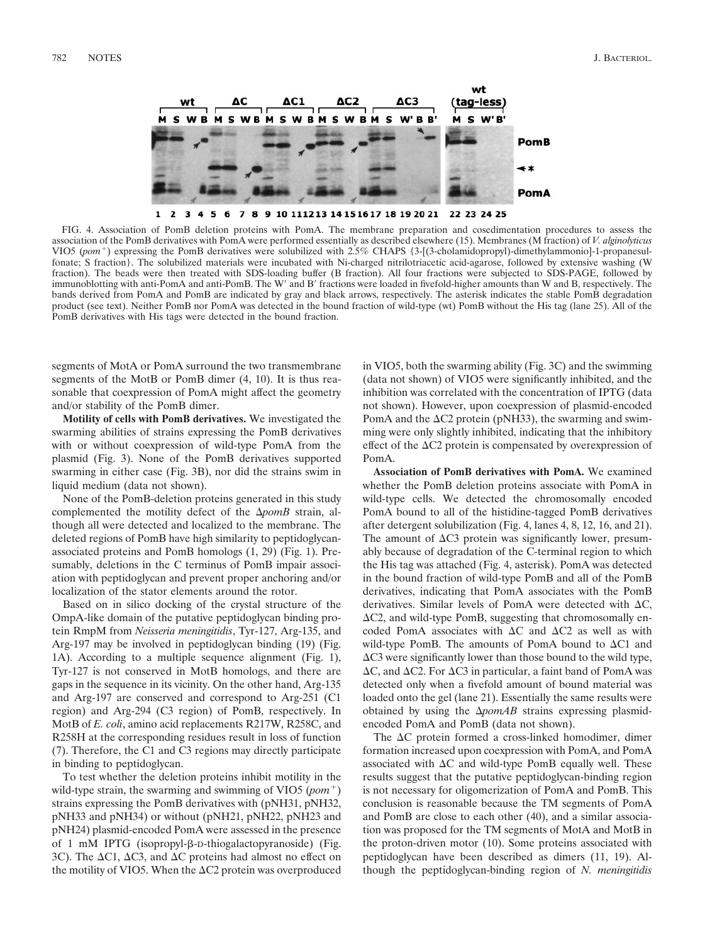

FIG. 4. Association of PomB deletion proteins with PomA. The membrane preparation and cosedimentation procedures to assess the association of the PomB derivatives with PomA were performed essentially as described elsewhere (15). Membranes (M fraction) of *V. alginolyticus* VIO5 (pom<sup>+</sup>) expressing the PomB derivatives were solubilized with 2.5% CHAPS {3-[(3-cholamidopropyl)-dimethylammonio]-1-propanesulfonate; S fraction}. The solubilized materials were incubated with Ni-charged nitrilotriacetic acid-agarose, followed by extensive washing (W fraction). The beads were then treated with SDS-loading buffer (B fraction). All four fractions were subjected to SDS-PAGE, followed by immunoblotting with anti-PomA and anti-PomB. The W' and B' fractions were loaded in fivefold-higher amounts than W and B, respectively. The bands derived from PomA and PomB are indicated by gray and black arrows, respectively. The asterisk indicates the stable PomB degradation product (see text). Neither PomB nor PomA was detected in the bound fraction of wild-type (wt) PomB without the His tag (lane 25). All of the PomB derivatives with His tags were detected in the bound fraction.

segments of MotA or PomA surround the two transmembrane segments of the MotB or PomB dimer (4, 10). It is thus reasonable that coexpression of PomA might affect the geometry and/or stability of the PomB dimer.

**Motility of cells with PomB derivatives.** We investigated the swarming abilities of strains expressing the PomB derivatives with or without coexpression of wild-type PomA from the plasmid (Fig. 3). None of the PomB derivatives supported swarming in either case (Fig. 3B), nor did the strains swim in liquid medium (data not shown).

None of the PomB-deletion proteins generated in this study complemented the motility defect of the  $\Delta p o m B$  strain, although all were detected and localized to the membrane. The deleted regions of PomB have high similarity to peptidoglycanassociated proteins and PomB homologs (1, 29) (Fig. 1). Presumably, deletions in the C terminus of PomB impair association with peptidoglycan and prevent proper anchoring and/or localization of the stator elements around the rotor.

Based on in silico docking of the crystal structure of the OmpA-like domain of the putative peptidoglycan binding protein RmpM from *Neisseria meningitidis*, Tyr-127, Arg-135, and Arg-197 may be involved in peptidoglycan binding (19) (Fig. 1A). According to a multiple sequence alignment (Fig. 1), Tyr-127 is not conserved in MotB homologs, and there are gaps in the sequence in its vicinity. On the other hand, Arg-135 and Arg-197 are conserved and correspond to Arg-251 (C1 region) and Arg-294 (C3 region) of PomB, respectively. In MotB of *E. coli*, amino acid replacements R217W, R258C, and R258H at the corresponding residues result in loss of function (7). Therefore, the C1 and C3 regions may directly participate in binding to peptidoglycan.

To test whether the deletion proteins inhibit motility in the wild-type strain, the swarming and swimming of VIO5 (*pom*<sup>+</sup>) strains expressing the PomB derivatives with (pNH31, pNH32, pNH33 and pNH34) or without (pNH21, pNH22, pNH23 and pNH24) plasmid-encoded PomA were assessed in the presence of 1 mM IPTG (isopropyl- $\beta$ -D-thiogalactopyranoside) (Fig. 3C). The  $\Delta$ C1,  $\Delta$ C3, and  $\Delta$ C proteins had almost no effect on the motility of VIO5. When the  $\Delta$ C2 protein was overproduced

in VIO5, both the swarming ability (Fig. 3C) and the swimming (data not shown) of VIO5 were significantly inhibited, and the inhibition was correlated with the concentration of IPTG (data not shown). However, upon coexpression of plasmid-encoded PomA and the  $\Delta$ C2 protein (pNH33), the swarming and swimming were only slightly inhibited, indicating that the inhibitory effect of the  $\Delta$ C2 protein is compensated by overexpression of PomA.

**Association of PomB derivatives with PomA.** We examined whether the PomB deletion proteins associate with PomA in wild-type cells. We detected the chromosomally encoded PomA bound to all of the histidine-tagged PomB derivatives after detergent solubilization (Fig. 4, lanes 4, 8, 12, 16, and 21). The amount of  $\Delta C3$  protein was significantly lower, presumably because of degradation of the C-terminal region to which the His tag was attached (Fig. 4, asterisk). PomA was detected in the bound fraction of wild-type PomB and all of the PomB derivatives, indicating that PomA associates with the PomB derivatives. Similar levels of PomA were detected with  $\Delta C$ , -C2, and wild-type PomB, suggesting that chromosomally encoded PomA associates with  $\Delta C$  and  $\Delta C$  as well as with wild-type PomB. The amounts of PomA bound to  $\Delta$ C1 and ΔC3 were significantly lower than those bound to the wild type,  $\Delta C$ , and  $\Delta C$ 2. For  $\Delta C$ 3 in particular, a faint band of PomA was detected only when a fivefold amount of bound material was loaded onto the gel (lane 21). Essentially the same results were obtained by using the  $\Delta p$ omAB strains expressing plasmidencoded PomA and PomB (data not shown).

The  $\Delta C$  protein formed a cross-linked homodimer, dimer formation increased upon coexpression with PomA, and PomA associated with  $\Delta C$  and wild-type PomB equally well. These results suggest that the putative peptidoglycan-binding region is not necessary for oligomerization of PomA and PomB. This conclusion is reasonable because the TM segments of PomA and PomB are close to each other (40), and a similar association was proposed for the TM segments of MotA and MotB in the proton-driven motor (10). Some proteins associated with peptidoglycan have been described as dimers (11, 19). Although the peptidoglycan-binding region of *N. meningitidis*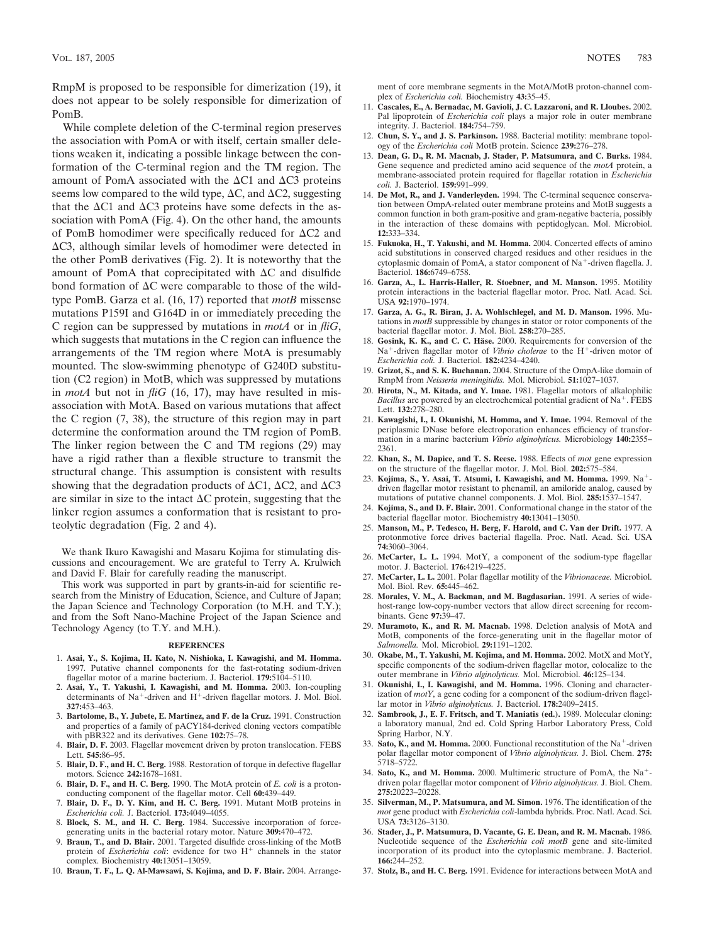RmpM is proposed to be responsible for dimerization (19), it does not appear to be solely responsible for dimerization of PomB.

While complete deletion of the C-terminal region preserves the association with PomA or with itself, certain smaller deletions weaken it, indicating a possible linkage between the conformation of the C-terminal region and the TM region. The amount of PomA associated with the  $\Delta$ C1 and  $\Delta$ C3 proteins seems low compared to the wild type,  $\Delta C$ , and  $\Delta C$ 2, suggesting that the  $\Delta$ C1 and  $\Delta$ C3 proteins have some defects in the association with PomA (Fig. 4). On the other hand, the amounts of PomB homodimer were specifically reduced for  $\Delta$ C2 and ΔC3, although similar levels of homodimer were detected in the other PomB derivatives (Fig. 2). It is noteworthy that the amount of PomA that coprecipitated with  $\Delta C$  and disulfide bond formation of  $\Delta C$  were comparable to those of the wildtype PomB. Garza et al. (16, 17) reported that *motB* missense mutations P159I and G164D in or immediately preceding the C region can be suppressed by mutations in *motA* or in *fliG*, which suggests that mutations in the C region can influence the arrangements of the TM region where MotA is presumably mounted. The slow-swimming phenotype of G240D substitution (C2 region) in MotB, which was suppressed by mutations in *motA* but not in *fliG* (16, 17), may have resulted in misassociation with MotA. Based on various mutations that affect the C region (7, 38), the structure of this region may in part determine the conformation around the TM region of PomB. The linker region between the C and TM regions (29) may have a rigid rather than a flexible structure to transmit the structural change. This assumption is consistent with results showing that the degradation products of  $\Delta C1$ ,  $\Delta C2$ , and  $\Delta C3$ are similar in size to the intact  $\Delta C$  protein, suggesting that the linker region assumes a conformation that is resistant to proteolytic degradation (Fig. 2 and 4).

We thank Ikuro Kawagishi and Masaru Kojima for stimulating discussions and encouragement. We are grateful to Terry A. Krulwich and David F. Blair for carefully reading the manuscript.

This work was supported in part by grants-in-aid for scientific research from the Ministry of Education, Science, and Culture of Japan; the Japan Science and Technology Corporation (to M.H. and T.Y.); and from the Soft Nano-Machine Project of the Japan Science and Technology Agency (to T.Y. and M.H.).

## **REFERENCES**

- 1. **Asai, Y., S. Kojima, H. Kato, N. Nishioka, I. Kawagishi, and M. Homma.** 1997. Putative channel components for the fast-rotating sodium-driven flagellar motor of a marine bacterium. J. Bacteriol. **179:**5104–5110.
- 2. **Asai, Y., T. Yakushi, I. Kawagishi, and M. Homma.** 2003. Ion-coupling determinants of  $Na^+$ -driven and  $H^+$ -driven flagellar motors. J. Mol. Biol. **327:**453–463.
- 3. **Bartolome, B., Y. Jubete, E. Martinez, and F. de la Cruz.** 1991. Construction and properties of a family of pACY184-derived cloning vectors compatible with pBR322 and its derivatives. Gene **102:**75–78.
- 4. **Blair, D. F.** 2003. Flagellar movement driven by proton translocation. FEBS Lett. **545:**86–95.
- 5. **Blair, D. F., and H. C. Berg.** 1988. Restoration of torque in defective flagellar motors. Science **242:**1678–1681.
- 6. **Blair, D. F., and H. C. Berg.** 1990. The MotA protein of *E. coli* is a protonconducting component of the flagellar motor. Cell **60:**439–449.
- 7. **Blair, D. F., D. Y. Kim, and H. C. Berg.** 1991. Mutant MotB proteins in *Escherichia coli.* J. Bacteriol. **173:**4049–4055.
- 8. **Block, S. M., and H. C. Berg.** 1984. Successive incorporation of forcegenerating units in the bacterial rotary motor. Nature **309:**470–472.
- 9. **Braun, T., and D. Blair.** 2001. Targeted disulfide cross-linking of the MotB protein of *Escherichia coli*: evidence for two H<sup>+</sup> channels in the stator complex. Biochemistry **40:**13051–13059.
- 10. **Braun, T. F., L. Q. Al-Mawsawi, S. Kojima, and D. F. Blair.** 2004. Arrange-

ment of core membrane segments in the MotA/MotB proton-channel complex of *Escherichia coli.* Biochemistry **43:**35–45.

- 11. **Cascales, E., A. Bernadac, M. Gavioli, J. C. Lazzaroni, and R. Lloubes.** 2002. Pal lipoprotein of *Escherichia coli* plays a major role in outer membrane integrity. J. Bacteriol. **184:**754–759.
- 12. **Chun, S. Y., and J. S. Parkinson.** 1988. Bacterial motility: membrane topology of the *Escherichia coli* MotB protein. Science **239:**276–278.
- 13. **Dean, G. D., R. M. Macnab, J. Stader, P. Matsumura, and C. Burks.** 1984. Gene sequence and predicted amino acid sequence of the *motA* protein, a membrane-associated protein required for flagellar rotation in *Escherichia coli.* J. Bacteriol. **159:**991–999.
- 14. **De Mot, R., and J. Vanderleyden.** 1994. The C-terminal sequence conservation between OmpA-related outer membrane proteins and MotB suggests a common function in both gram-positive and gram-negative bacteria, possibly in the interaction of these domains with peptidoglycan. Mol. Microbiol. **12:**333–334.
- 15. **Fukuoka, H., T. Yakushi, and M. Homma.** 2004. Concerted effects of amino acid substitutions in conserved charged residues and other residues in the cytoplasmic domain of PomA, a stator component of  $Na<sup>+</sup>$ -driven flagella. J. Bacteriol. **186:**6749–6758.
- 16. **Garza, A., L. Harris-Haller, R. Stoebner, and M. Manson.** 1995. Motility protein interactions in the bacterial flagellar motor. Proc. Natl. Acad. Sci. USA **92:**1970–1974.
- 17. **Garza, A. G., R. Biran, J. A. Wohlschlegel, and M. D. Manson.** 1996. Mutations in *motB* suppressible by changes in stator or rotor components of the bacterial flagellar motor. J. Mol. Biol. **258:**270–285.
- 18. Gosink, K. K., and C. C. Häse. 2000. Requirements for conversion of the Na<sup>+</sup>-driven flagellar motor of *Vibrio cholerae* to the H<sup>+</sup>-driven motor of *Escherichia coli.* J. Bacteriol. **182:**4234–4240.
- 19. **Grizot, S., and S. K. Buchanan.** 2004. Structure of the OmpA-like domain of RmpM from *Neisseria meningitidis.* Mol. Microbiol. **51:**1027–1037.
- 20. **Hirota, N., M. Kitada, and Y. Imae.** 1981. Flagellar motors of alkalophilic *Bacillus* are powered by an electrochemical potential gradient of Na<sup>+</sup>. FEBS Lett. **132:**278–280.
- 21. **Kawagishi, I., I. Okunishi, M. Homma, and Y. Imae.** 1994. Removal of the periplasmic DNase before electroporation enhances efficiency of transformation in a marine bacterium *Vibrio alginolyticus.* Microbiology **140:**2355– 2361.
- 22. **Khan, S., M. Dapice, and T. S. Reese.** 1988. Effects of *mot* gene expression on the structure of the flagellar motor. J. Mol. Biol. **202:**575–584.
- 23. **Kojima, S., Y. Asai, T. Atsumi, I. Kawagishi, and M. Homma.** 1999. Na driven flagellar motor resistant to phenamil, an amiloride analog, caused by mutations of putative channel components. J. Mol. Biol. **285:**1537–1547.
- 24. **Kojima, S., and D. F. Blair.** 2001. Conformational change in the stator of the bacterial flagellar motor. Biochemistry **40:**13041–13050.
- 25. **Manson, M., P. Tedesco, H. Berg, F. Harold, and C. Van der Drift.** 1977. A protonmotive force drives bacterial flagella. Proc. Natl. Acad. Sci. USA **74:**3060–3064.
- 26. **McCarter, L. L.** 1994. MotY, a component of the sodium-type flagellar motor. J. Bacteriol. **176:**4219–4225.
- 27. **McCarter, L. L.** 2001. Polar flagellar motility of the *Vibrionaceae.* Microbiol. Mol. Biol. Rev. **65:**445–462.
- 28. **Morales, V. M., A. Backman, and M. Bagdasarian.** 1991. A series of widehost-range low-copy-number vectors that allow direct screening for recombinants. Gene **97:**39–47.
- 29. **Muramoto, K., and R. M. Macnab.** 1998. Deletion analysis of MotA and MotB, components of the force-generating unit in the flagellar motor of *Salmonella.* Mol. Microbiol. **29:**1191–1202.
- 30. **Okabe, M., T. Yakushi, M. Kojima, and M. Homma.** 2002. MotX and MotY, specific components of the sodium-driven flagellar motor, colocalize to the outer membrane in *Vibrio alginolyticus.* Mol. Microbiol. **46:**125–134.
- 31. **Okunishi, I., I. Kawagishi, and M. Homma.** 1996. Cloning and characterization of *motY*, a gene coding for a component of the sodium-driven flagellar motor in *Vibrio alginolyticus.* J. Bacteriol. **178:**2409–2415.
- 32. **Sambrook, J., E. F. Fritsch, and T. Maniatis (ed.).** 1989. Molecular cloning: a laboratory manual, 2nd ed. Cold Spring Harbor Laboratory Press, Cold Spring Harbor, N.Y.
- 33.  $\overrightarrow{S}$ **ato, K., and M. Homma.** 2000. Functional reconstitution of the Na<sup>+</sup>-driven polar flagellar motor component of *Vibrio alginolyticus.* J. Biol. Chem. **275:** 5718–5722.
- 34. **Sato, K., and M. Homma.** 2000. Multimeric structure of PomA, the Na driven polar flagellar motor component of *Vibrio alginolyticus.* J. Biol. Chem. **275:**20223–20228.
- 35. **Silverman, M., P. Matsumura, and M. Simon.** 1976. The identification of the *mot* gene product with *Escherichia coli*-lambda hybrids. Proc. Natl. Acad. Sci. USA **73:**3126–3130.
- 36. **Stader, J., P. Matsumura, D. Vacante, G. E. Dean, and R. M. Macnab.** 1986. Nucleotide sequence of the *Escherichia coli motB* gene and site-limited incorporation of its product into the cytoplasmic membrane. J. Bacteriol. **166:**244–252.
- 37. **Stolz, B., and H. C. Berg.** 1991. Evidence for interactions between MotA and